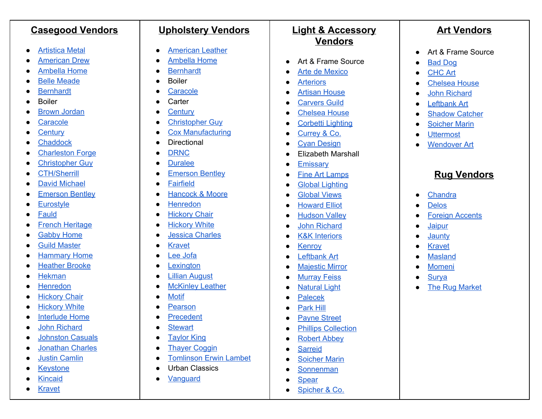| <b>Casegood Vendors</b>                                                                                                                                                                                                                                                                                                                                                                                                                                                                                                                                                                                                                                           | <b>Upholstery Vendors</b>                                                                                                                                                                                                                                                                                                                                                                                                                                                                                                                                                                                                                                         | <b>Light &amp; Accessory</b>                                                                                                                                                                                                                                                                                                                                                                                                                                                                                                                                                                                                                                                                                                                                                                                                                                                                                                             | <b>Art Vendors</b>                                                                                                                                                                                                                                                                                                                                                                                                                                                                                                      |
|-------------------------------------------------------------------------------------------------------------------------------------------------------------------------------------------------------------------------------------------------------------------------------------------------------------------------------------------------------------------------------------------------------------------------------------------------------------------------------------------------------------------------------------------------------------------------------------------------------------------------------------------------------------------|-------------------------------------------------------------------------------------------------------------------------------------------------------------------------------------------------------------------------------------------------------------------------------------------------------------------------------------------------------------------------------------------------------------------------------------------------------------------------------------------------------------------------------------------------------------------------------------------------------------------------------------------------------------------|------------------------------------------------------------------------------------------------------------------------------------------------------------------------------------------------------------------------------------------------------------------------------------------------------------------------------------------------------------------------------------------------------------------------------------------------------------------------------------------------------------------------------------------------------------------------------------------------------------------------------------------------------------------------------------------------------------------------------------------------------------------------------------------------------------------------------------------------------------------------------------------------------------------------------------------|-------------------------------------------------------------------------------------------------------------------------------------------------------------------------------------------------------------------------------------------------------------------------------------------------------------------------------------------------------------------------------------------------------------------------------------------------------------------------------------------------------------------------|
| <b>Artistica Metal</b><br><b>American Drew</b><br><b>Ambella Home</b><br><b>Belle Meade</b><br><b>Bernhardt</b><br><b>Boiler</b><br><b>Brown Jordan</b><br>Caracole<br>Century<br>Chaddock<br><b>Charleston Forge</b><br><b>Christopher Guy</b><br><b>CTH/Sherrill</b><br><b>David Michael</b><br><b>Emerson Bentley</b><br>Eurostyle<br>Fauld<br><b>French Heritage</b><br><b>Gabby Home</b><br><b>Guild Master</b><br>0<br><b>Hammary Home</b><br><b>Heather Brooke</b><br><b>Hekman</b><br>Henredon<br><b>Hickory Chair</b><br><b>Hickory White</b><br><b>Interlude Home</b><br>0<br><b>John Richard</b><br><b>Johnston Casuals</b><br><b>Jonathan Charles</b> | <b>American Leather</b><br>$\bullet$<br><b>Ambella Home</b><br><b>Bernhardt</b><br><b>Boiler</b><br>Caracole<br>Carter<br><b>Century</b><br><b>Christopher Guy</b><br><b>Cox Manufacturing</b><br><b>Directional</b><br>$\bullet$<br><b>DRNC</b><br><b>Duralee</b><br><b>Emerson Bentley</b><br><b>Fairfield</b><br>$\bullet$<br>Hancock & Moore<br>Henredon<br><b>Hickory Chair</b><br><b>Hickory White</b><br><b>Jessica Charles</b><br><b>Kravet</b><br>ee Jofa<br>exington<br>٠<br>illian August<br>$\bullet$<br><b>McKinley Leather</b><br>$\bullet$<br><b>Motif</b><br>Pearson<br>Precedent<br><b>Stewart</b><br><b>Taylor King</b><br><b>Thayer Coggin</b> | <b>Vendors</b><br>Art & Frame Source<br>$\bullet$<br><b>Arte de Mexico</b><br>$\bullet$<br><b>Arteriors</b><br><b>Artisan House</b><br><b>Carvers Guild</b><br><b>Chelsea House</b><br>$\bullet$<br><b>Corbetti Lighting</b><br>Currey & Co.<br>٠<br><b>Cyan Design</b><br>$\bullet$<br><b>Elizabeth Marshall</b><br>$\bullet$<br>Emissary<br>٠<br><b>Fine Art Lamps</b><br>٠<br><b>Global Lighting</b><br>$\bullet$<br><b>Global Views</b><br>$\bullet$<br><b>Howard Elliot</b><br>$\bullet$<br><b>Hudson Valley</b><br>٠<br><b>John Richard</b><br>$\bullet$<br><b>K&amp;K Interiors</b><br>$\bullet$<br><b>Kenroy</b><br>$\bullet$<br>Leftbank Art<br>$\bullet$<br><b>Majestic Mirror</b><br>$\bullet$<br><b>Murray Feiss</b><br>$\bullet$<br><b>Natural Light</b><br>٠<br><b>Palecek</b><br><b>Park Hill</b><br><b>Payne Street</b><br>$\bullet$<br><b>Phillips Collection</b><br><b>Robert Abbey</b><br>$\bullet$<br><b>Sarreid</b> | Art & Frame Source<br>$\bullet$<br><b>Bad Dog</b><br><b>CHC Art</b><br>О<br><b>Chelsea House</b><br><b>John Richard</b><br><b>Leftbank Art</b><br><b>Shadow Catcher</b><br><b>Soicher Marin</b><br><b>Uttermost</b><br><b>Wendover Art</b><br><b>Rug Vendors</b><br>Chandra<br>$\bullet$<br><b>Delos</b><br>О<br><b>Foreign Accents</b><br><b>Jaipur</b><br>$\bullet$<br>Jaunty<br>$\bullet$<br><b>Kravet</b><br>$\bullet$<br><b>Masland</b><br>€<br><b>Momeni</b><br>$\epsilon$<br>Surya<br>О<br><b>The Rug Market</b> |
| <b>Justin Camlin</b><br><b>Keystone</b><br><b>Kincaid</b><br><b>Kravet</b>                                                                                                                                                                                                                                                                                                                                                                                                                                                                                                                                                                                        | <b>Tomlinson Erwin Lambet</b><br><b>Urban Classics</b><br>Vanguard                                                                                                                                                                                                                                                                                                                                                                                                                                                                                                                                                                                                | <b>Soicher Marin</b><br>$\bullet$<br><b>Sonnenman</b><br><b>Spear</b><br>Spicher & Co.                                                                                                                                                                                                                                                                                                                                                                                                                                                                                                                                                                                                                                                                                                                                                                                                                                                   |                                                                                                                                                                                                                                                                                                                                                                                                                                                                                                                         |

 $\bullet$ 

●

 $\bullet$